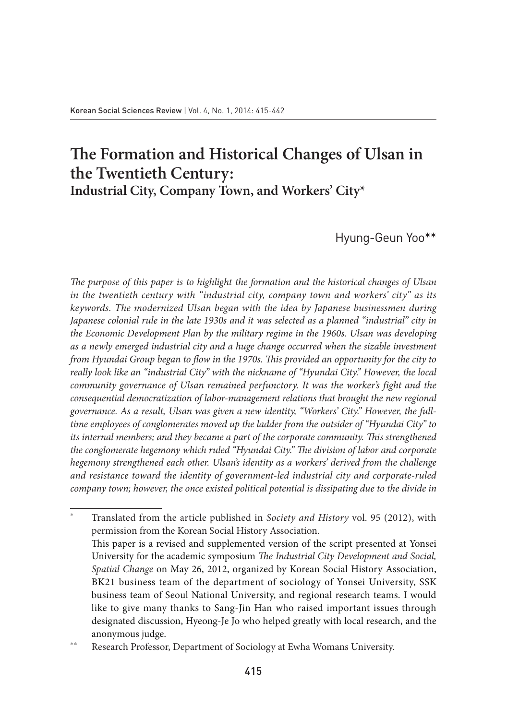# **The Formation and Historical Changes of Ulsan in the Twentieth Century: Industrial City, Company Town, and Workers' City\***

Hyung-Geun Yoo\*\*

*The purpose of this paper is to highlight the formation and the historical changes of Ulsan in the twentieth century with "industrial city, company town and workers' city" as its keywords. The modernized Ulsan began with the idea by Japanese businessmen during Japanese colonial rule in the late 1930s and it was selected as a planned "industrial" city in the Economic Development Plan by the military regime in the 1960s. Ulsan was developing as a newly emerged industrial city and a huge change occurred when the sizable investment from Hyundai Group began to flow in the 1970s. This provided an opportunity for the city to really look like an "industrial City" with the nickname of "Hyundai City." However, the local community governance of Ulsan remained perfunctory. It was the worker's fight and the consequential democratization of labor-management relations that brought the new regional governance. As a result, Ulsan was given a new identity, "Workers' City." However, the fulltime employees of conglomerates moved up the ladder from the outsider of "Hyundai City" to its internal members; and they became a part of the corporate community. This strengthened the conglomerate hegemony which ruled "Hyundai City." The division of labor and corporate hegemony strengthened each other. Ulsan's identity as a workers' derived from the challenge and resistance toward the identity of government-led industrial city and corporate-ruled company town; however, the once existed political potential is dissipating due to the divide in* 

<sup>\*</sup> Translated from the article published in *Society and History* vol. 95 (2012), with permission from the Korean Social History Association. This paper is a revised and supplemented version of the script presented at Yonsei University for the academic symposium *The Industrial City Development and Social, Spatial Change* on May 26, 2012, organized by Korean Social History Association, BK21 business team of the department of sociology of Yonsei University, SSK business team of Seoul National University, and regional research teams. I would like to give many thanks to Sang-Jin Han who raised important issues through designated discussion, Hyeong-Je Jo who helped greatly with local research, and the anonymous judge.

<sup>\*\*</sup> Research Professor, Department of Sociology at Ewha Womans University.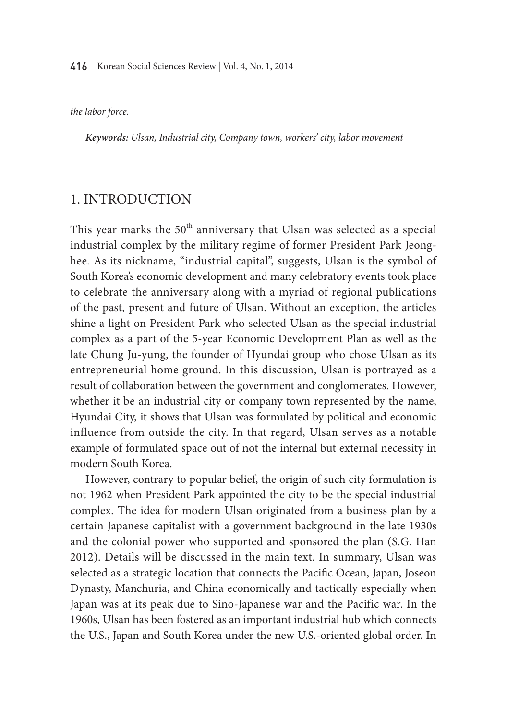*the labor force.*

*Keywords: Ulsan, Industrial city, Company town, workers' city, labor movement*

### 1. Introduction

This vear marks the  $50<sup>th</sup>$  anniversary that Ulsan was selected as a special industrial complex by the military regime of former President Park Jeonghee. As its nickname, "industrial capital", suggests, Ulsan is the symbol of South Korea's economic development and many celebratory events took place to celebrate the anniversary along with a myriad of regional publications of the past, present and future of Ulsan. Without an exception, the articles shine a light on President Park who selected Ulsan as the special industrial complex as a part of the 5-year Economic Development Plan as well as the late Chung Ju-yung, the founder of Hyundai group who chose Ulsan as its entrepreneurial home ground. In this discussion, Ulsan is portrayed as a result of collaboration between the government and conglomerates. However, whether it be an industrial city or company town represented by the name, Hyundai City, it shows that Ulsan was formulated by political and economic influence from outside the city. In that regard, Ulsan serves as a notable example of formulated space out of not the internal but external necessity in modern South Korea.

However, contrary to popular belief, the origin of such city formulation is not 1962 when President Park appointed the city to be the special industrial complex. The idea for modern Ulsan originated from a business plan by a certain Japanese capitalist with a government background in the late 1930s and the colonial power who supported and sponsored the plan (S.G. Han 2012). Details will be discussed in the main text. In summary, Ulsan was selected as a strategic location that connects the Pacific Ocean, Japan, Joseon Dynasty, Manchuria, and China economically and tactically especially when Japan was at its peak due to Sino-Japanese war and the Pacific war. In the 1960s, Ulsan has been fostered as an important industrial hub which connects the U.S., Japan and South Korea under the new U.S.-oriented global order. In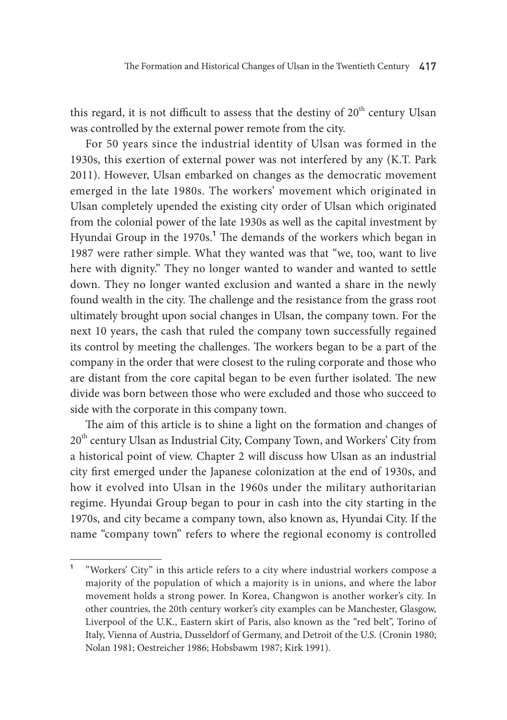this regard, it is not difficult to assess that the destiny of  $20<sup>th</sup>$  century Ulsan was controlled by the external power remote from the city.

For 50 years since the industrial identity of Ulsan was formed in the 1930s, this exertion of external power was not interfered by any (K.T. Park 2011). However, Ulsan embarked on changes as the democratic movement emerged in the late 1980s. The workers' movement which originated in Ulsan completely upended the existing city order of Ulsan which originated from the colonial power of the late 1930s as well as the capital investment by Hyundai Group in the 1970s.<sup>1</sup> The demands of the workers which began in 1987 were rather simple. What they wanted was that "we, too, want to live here with dignity." They no longer wanted to wander and wanted to settle down. They no longer wanted exclusion and wanted a share in the newly found wealth in the city. The challenge and the resistance from the grass root ultimately brought upon social changes in Ulsan, the company town. For the next 10 years, the cash that ruled the company town successfully regained its control by meeting the challenges. The workers began to be a part of the company in the order that were closest to the ruling corporate and those who are distant from the core capital began to be even further isolated. The new divide was born between those who were excluded and those who succeed to side with the corporate in this company town.

The aim of this article is to shine a light on the formation and changes of 20<sup>th</sup> century Ulsan as Industrial City, Company Town, and Workers' City from a historical point of view. Chapter 2 will discuss how Ulsan as an industrial city first emerged under the Japanese colonization at the end of 1930s, and how it evolved into Ulsan in the 1960s under the military authoritarian regime. Hyundai Group began to pour in cash into the city starting in the 1970s, and city became a company town, also known as, Hyundai City. If the name "company town" refers to where the regional economy is controlled

**<sup>1</sup>** "Workers' City" in this article refers to a city where industrial workers compose a majority of the population of which a majority is in unions, and where the labor movement holds a strong power. In Korea, Changwon is another worker's city. In other countries, the 20th century worker's city examples can be Manchester, Glasgow, Liverpool of the U.K., Eastern skirt of Paris, also known as the "red belt", Torino of Italy, Vienna of Austria, Dusseldorf of Germany, and Detroit of the U.S. (Cronin 1980; Nolan 1981; Oestreicher 1986; Hobsbawm 1987; Kirk 1991).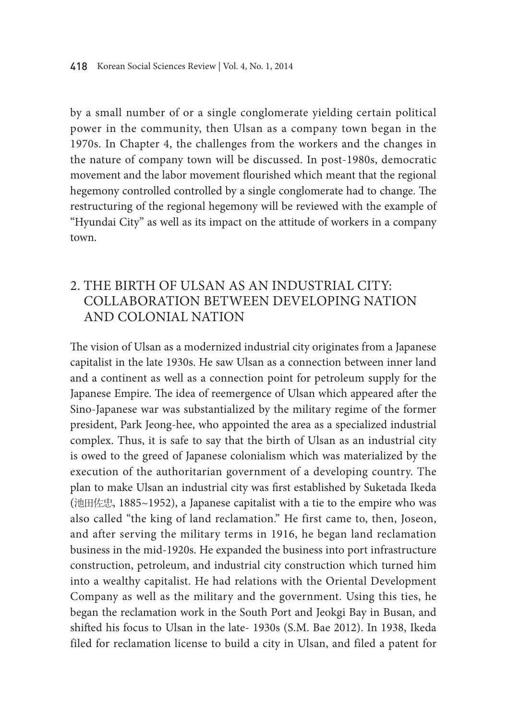by a small number of or a single conglomerate yielding certain political power in the community, then Ulsan as a company town began in the 1970s. In Chapter 4, the challenges from the workers and the changes in the nature of company town will be discussed. In post-1980s, democratic movement and the labor movement flourished which meant that the regional hegemony controlled controlled by a single conglomerate had to change. The restructuring of the regional hegemony will be reviewed with the example of "Hyundai City" as well as its impact on the attitude of workers in a company town.

## 2. The birth of Ulsan as an industrial city: Collaboration between developing nation and colonial nation

The vision of Ulsan as a modernized industrial city originates from a Japanese capitalist in the late 1930s. He saw Ulsan as a connection between inner land and a continent as well as a connection point for petroleum supply for the Japanese Empire. The idea of reemergence of Ulsan which appeared after the Sino-Japanese war was substantialized by the military regime of the former president, Park Jeong-hee, who appointed the area as a specialized industrial complex. Thus, it is safe to say that the birth of Ulsan as an industrial city is owed to the greed of Japanese colonialism which was materialized by the execution of the authoritarian government of a developing country. The plan to make Ulsan an industrial city was first established by Suketada Ikeda (池田佐忠, 1885~1952), a Japanese capitalist with a tie to the empire who was also called "the king of land reclamation." He first came to, then, Joseon, and after serving the military terms in 1916, he began land reclamation business in the mid-1920s. He expanded the business into port infrastructure construction, petroleum, and industrial city construction which turned him into a wealthy capitalist. He had relations with the Oriental Development Company as well as the military and the government. Using this ties, he began the reclamation work in the South Port and Jeokgi Bay in Busan, and shifted his focus to Ulsan in the late- 1930s (S.M. Bae 2012). In 1938, Ikeda filed for reclamation license to build a city in Ulsan, and filed a patent for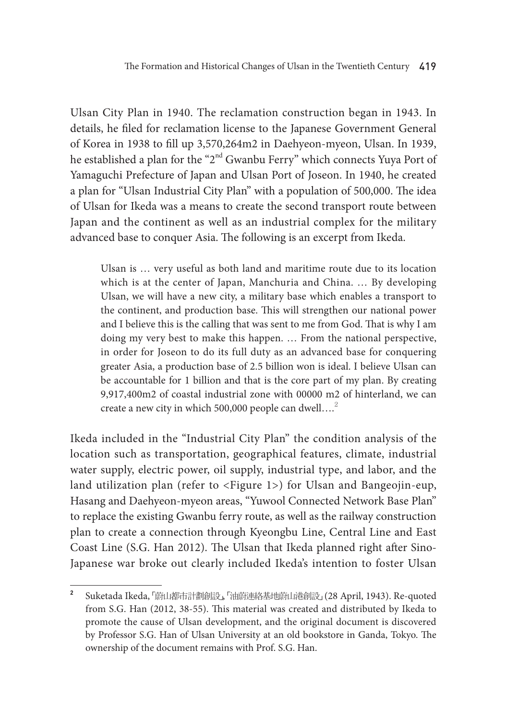Ulsan City Plan in 1940. The reclamation construction began in 1943. In details, he filed for reclamation license to the Japanese Government General of Korea in 1938 to fill up 3,570,264m2 in Daehyeon-myeon, Ulsan. In 1939, he established a plan for the "2<sup>nd</sup> Gwanbu Ferry" which connects Yuya Port of Yamaguchi Prefecture of Japan and Ulsan Port of Joseon. In 1940, he created a plan for "Ulsan Industrial City Plan" with a population of 500,000. The idea of Ulsan for Ikeda was a means to create the second transport route between Japan and the continent as well as an industrial complex for the military advanced base to conquer Asia. The following is an excerpt from Ikeda.

Ulsan is … very useful as both land and maritime route due to its location which is at the center of Japan, Manchuria and China. … By developing Ulsan, we will have a new city, a military base which enables a transport to the continent, and production base. This will strengthen our national power and I believe this is the calling that was sent to me from God. That is why I am doing my very best to make this happen. … From the national perspective, in order for Joseon to do its full duty as an advanced base for conquering greater Asia, a production base of 2.5 billion won is ideal. I believe Ulsan can be accountable for 1 billion and that is the core part of my plan. By creating 9,917,400m2 of coastal industrial zone with 00000 m2 of hinterland, we can create a new city in which 500,000 people can dwell….<sup>2</sup>

Ikeda included in the "Industrial City Plan" the condition analysis of the location such as transportation, geographical features, climate, industrial water supply, electric power, oil supply, industrial type, and labor, and the land utilization plan (refer to <Figure 1>) for Ulsan and Bangeojin-eup, Hasang and Daehyeon-myeon areas, "Yuwool Connected Network Base Plan" to replace the existing Gwanbu ferry route, as well as the railway construction plan to create a connection through Kyeongbu Line, Central Line and East Coast Line (S.G. Han 2012). The Ulsan that Ikeda planned right after Sino-Japanese war broke out clearly included Ikeda's intention to foster Ulsan

**<sup>2</sup>** Suketada Ikeda, 「蔚山都市計劃創設」, 「油蔚連絡基地蔚山港創設」 (28 April, 1943). Re-quoted from S.G. Han (2012, 38-55). This material was created and distributed by Ikeda to promote the cause of Ulsan development, and the original document is discovered by Professor S.G. Han of Ulsan University at an old bookstore in Ganda, Tokyo. The ownership of the document remains with Prof. S.G. Han.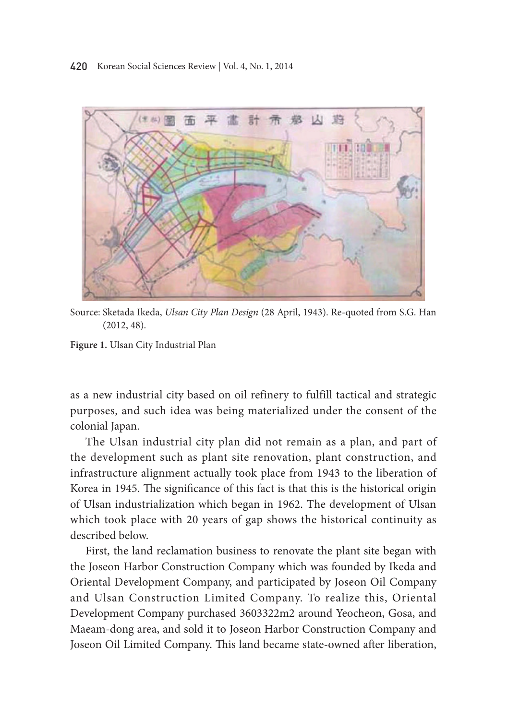

Source: Sketada Ikeda, *Ulsan City Plan Design* (28 April, 1943). Re-quoted from S.G. Han (2012, 48).

**Figure 1.** Ulsan city Industrial Plan

as a new industrial city based on oil refinery to fulfill tactical and strategic purposes, and such idea was being materialized under the consent of the colonial Japan.

The Ulsan industrial city plan did not remain as a plan, and part of the development such as plant site renovation, plant construction, and infrastructure alignment actually took place from 1943 to the liberation of Korea in 1945. The significance of this fact is that this is the historical origin of Ulsan industrialization which began in 1962. The development of Ulsan which took place with 20 years of gap shows the historical continuity as described below.

First, the land reclamation business to renovate the plant site began with the Joseon Harbor construction company which was founded by Ikeda and oriental Development company, and participated by Joseon oil company and Ulsan construction Limited company. To realize this, oriental Development company purchased 3603322m2 around Yeocheon, Gosa, and Maeam-dong area, and sold it to Joseon Harbor construction company and Joseon Oil Limited Company. This land became state-owned after liberation,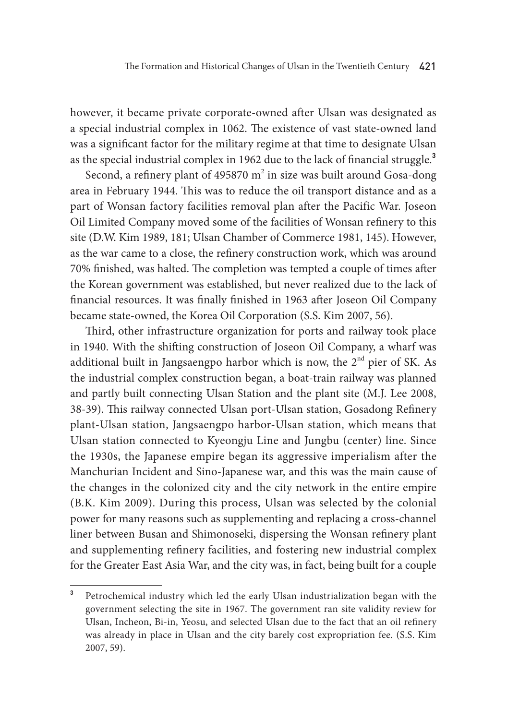however, it became private corporate-owned after Ulsan was designated as a special industrial complex in 1062. The existence of vast state-owned land was a significant factor for the military regime at that time to designate Ulsan as the special industrial complex in 1962 due to the lack of financial struggle.**<sup>3</sup>**

Second, a refinery plant of 495870  $m^2$  in size was built around Gosa-dong area in February 1944. This was to reduce the oil transport distance and as a part of Wonsan factory facilities removal plan after the Pacific War. Joseon Oil Limited Company moved some of the facilities of Wonsan refinery to this site (D.W. Kim 1989, 181; Ulsan Chamber of Commerce 1981, 145). However, as the war came to a close, the refinery construction work, which was around 70% finished, was halted. The completion was tempted a couple of times after the Korean government was established, but never realized due to the lack of financial resources. It was finally finished in 1963 after Joseon Oil Company became state-owned, the Korea Oil Corporation (S.S. Kim 2007, 56).

Third, other infrastructure organization for ports and railway took place in 1940. With the shifting construction of Joseon Oil Company, a wharf was additional built in Jangsaengpo harbor which is now, the 2<sup>nd</sup> pier of SK. As the industrial complex construction began, a boat-train railway was planned and partly built connecting Ulsan Station and the plant site (M.J. Lee 2008, 38-39). This railway connected Ulsan port-Ulsan station, Gosadong Refinery plant-Ulsan station, Jangsaengpo harbor-Ulsan station, which means that Ulsan station connected to Kyeongju Line and Jungbu (center) line. Since the 1930s, the Japanese empire began its aggressive imperialism after the Manchurian Incident and Sino-Japanese war, and this was the main cause of the changes in the colonized city and the city network in the entire empire (B.K. Kim 2009). During this process, Ulsan was selected by the colonial power for many reasons such as supplementing and replacing a cross-channel liner between Busan and Shimonoseki, dispersing the Wonsan refinery plant and supplementing refinery facilities, and fostering new industrial complex for the Greater East Asia War, and the city was, in fact, being built for a couple

**<sup>3</sup>** Petrochemical industry which led the early Ulsan industrialization began with the government selecting the site in 1967. The government ran site validity review for Ulsan, Incheon, Bi-in, Yeosu, and selected Ulsan due to the fact that an oil refinery was already in place in Ulsan and the city barely cost expropriation fee. (S.S. Kim 2007, 59).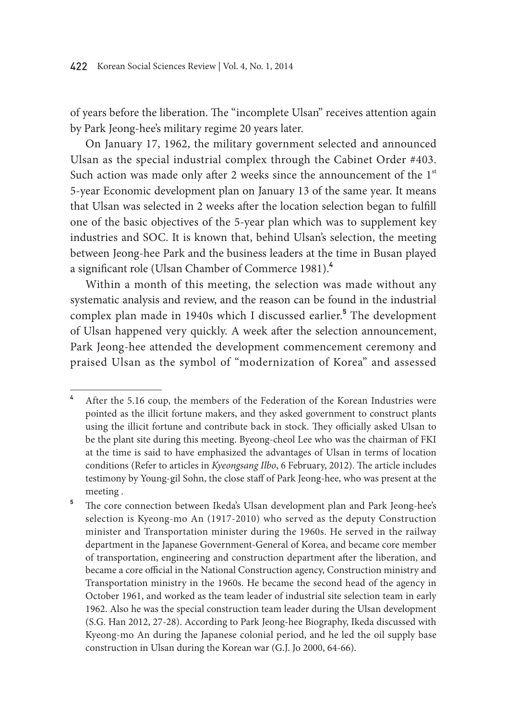of years before the liberation. The "incomplete Ulsan" receives attention again by Park Jeong-hee's military regime 20 years later.

On January 17, 1962, the military government selected and announced Ulsan as the special industrial complex through the Cabinet Order #403. Such action was made only after 2 weeks since the announcement of the  $1<sup>st</sup>$ 5-year Economic development plan on January 13 of the same year. It means that Ulsan was selected in 2 weeks after the location selection began to fulfill one of the basic objectives of the 5-year plan which was to supplement key industries and SOC. It is known that, behind Ulsan's selection, the meeting between Jeong-hee Park and the business leaders at the time in Busan played a significant role (Ulsan Chamber of Commerce 1981).**<sup>4</sup>**

Within a month of this meeting, the selection was made without any systematic analysis and review, and the reason can be found in the industrial complex plan made in 1940s which I discussed earlier.**<sup>5</sup>** The development of Ulsan happened very quickly. A week after the selection announcement, Park Jeong-hee attended the development commencement ceremony and praised Ulsan as the symbol of "modernization of Korea" and assessed

**<sup>4</sup>** After the 5.16 coup, the members of the Federation of the Korean Industries were pointed as the illicit fortune makers, and they asked government to construct plants using the illicit fortune and contribute back in stock. They officially asked Ulsan to be the plant site during this meeting. Byeong-cheol Lee who was the chairman of FKI at the time is said to have emphasized the advantages of Ulsan in terms of location conditions (Refer to articles in *Kyeongsang Ilbo*, 6 February, 2012). The article includes testimony by Young-gil Sohn, the close staff of Park Jeong-hee, who was present at the meeting .

<sup>&</sup>lt;sup>5</sup> The core connection between Ikeda's Ulsan development plan and Park Jeong-hee's selection is Kyeong-mo An (1917-2010) who served as the deputy Construction minister and Transportation minister during the 1960s. He served in the railway department in the Japanese Government-General of Korea, and became core member of transportation, engineering and construction department after the liberation, and became a core official in the National Construction agency, Construction ministry and Transportation ministry in the 1960s. He became the second head of the agency in October 1961, and worked as the team leader of industrial site selection team in early 1962. Also he was the special construction team leader during the Ulsan development (S.G. Han 2012, 27-28). According to Park Jeong-hee Biography, Ikeda discussed with Kyeong-mo An during the Japanese colonial period, and he led the oil supply base construction in Ulsan during the Korean war (G.J. Jo 2000, 64-66).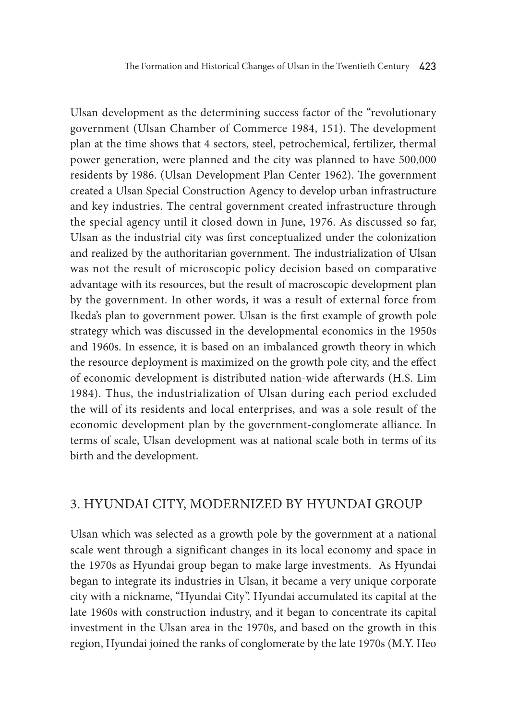Ulsan development as the determining success factor of the "revolutionary government (Ulsan Chamber of Commerce 1984, 151). The development plan at the time shows that 4 sectors, steel, petrochemical, fertilizer, thermal power generation, were planned and the city was planned to have 500,000 residents by 1986. (Ulsan Development Plan Center 1962). The government created a Ulsan Special Construction Agency to develop urban infrastructure and key industries. The central government created infrastructure through the special agency until it closed down in June, 1976. As discussed so far, Ulsan as the industrial city was first conceptualized under the colonization and realized by the authoritarian government. The industrialization of Ulsan was not the result of microscopic policy decision based on comparative advantage with its resources, but the result of macroscopic development plan by the government. In other words, it was a result of external force from Ikeda's plan to government power. Ulsan is the first example of growth pole strategy which was discussed in the developmental economics in the 1950s and 1960s. In essence, it is based on an imbalanced growth theory in which the resource deployment is maximized on the growth pole city, and the effect of economic development is distributed nation-wide afterwards (H.S. Lim 1984). Thus, the industrialization of Ulsan during each period excluded the will of its residents and local enterprises, and was a sole result of the economic development plan by the government-conglomerate alliance. In terms of scale, Ulsan development was at national scale both in terms of its birth and the development.

### 3. Hyundai City, modernized by Hyundai Group

Ulsan which was selected as a growth pole by the government at a national scale went through a significant changes in its local economy and space in the 1970s as Hyundai group began to make large investments. As Hyundai began to integrate its industries in Ulsan, it became a very unique corporate city with a nickname, "Hyundai City". Hyundai accumulated its capital at the late 1960s with construction industry, and it began to concentrate its capital investment in the Ulsan area in the 1970s, and based on the growth in this region, Hyundai joined the ranks of conglomerate by the late 1970s (M.Y. Heo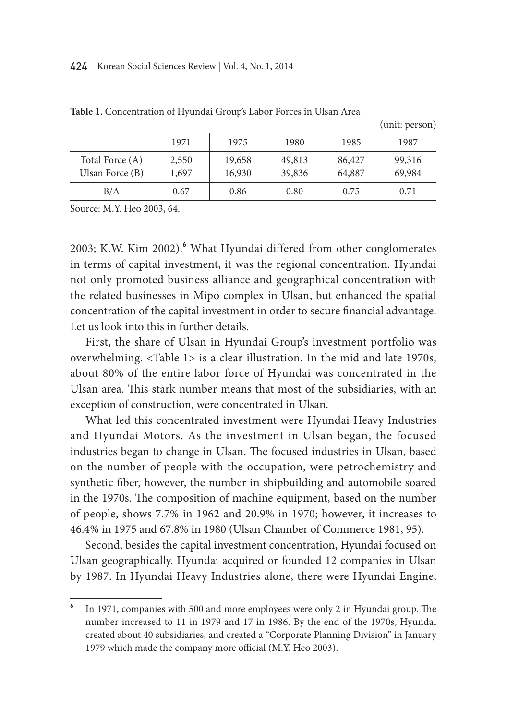#### 424 Korean Social Sciences Review | Vol. 4, No. 1, 2014

|                                      |                |                  |                  |                  | (unit: person)   |
|--------------------------------------|----------------|------------------|------------------|------------------|------------------|
|                                      | 1971           | 1975             | 1980             | 1985             | 1987             |
| Total Force (A)<br>Ulsan Force $(B)$ | 2,550<br>1,697 | 19,658<br>16,930 | 49,813<br>39,836 | 86,427<br>64,887 | 99,316<br>69,984 |
| B/A                                  | 0.67           | 0.86             | 0.80             | 0.75             | 0.71             |

**Table 1.** Concentration of Hyundai Group's Labor Forces in Ulsan Area

Source: M.Y. Heo 2003, 64.

2003; K.W. Kim 2002).**<sup>6</sup>** What Hyundai differed from other conglomerates in terms of capital investment, it was the regional concentration. Hyundai not only promoted business alliance and geographical concentration with the related businesses in Mipo complex in Ulsan, but enhanced the spatial concentration of the capital investment in order to secure financial advantage. Let us look into this in further details.

First, the share of Ulsan in Hyundai Group's investment portfolio was overwhelming. <Table 1> is a clear illustration. In the mid and late 1970s, about 80% of the entire labor force of Hyundai was concentrated in the Ulsan area. This stark number means that most of the subsidiaries, with an exception of construction, were concentrated in Ulsan.

What led this concentrated investment were Hyundai Heavy Industries and Hyundai Motors. As the investment in Ulsan began, the focused industries began to change in Ulsan. The focused industries in Ulsan, based on the number of people with the occupation, were petrochemistry and synthetic fiber, however, the number in shipbuilding and automobile soared in the 1970s. The composition of machine equipment, based on the number of people, shows 7.7% in 1962 and 20.9% in 1970; however, it increases to 46.4% in 1975 and 67.8% in 1980 (Ulsan Chamber of Commerce 1981, 95).

Second, besides the capital investment concentration, Hyundai focused on Ulsan geographically. Hyundai acquired or founded 12 companies in Ulsan by 1987. In Hyundai Heavy Industries alone, there were Hyundai Engine,

**<sup>6</sup>** In 1971, companies with 500 and more employees were only 2 in Hyundai group. The number increased to 11 in 1979 and 17 in 1986. By the end of the 1970s, Hyundai created about 40 subsidiaries, and created a "Corporate Planning Division" in January 1979 which made the company more official (M.Y. Heo 2003).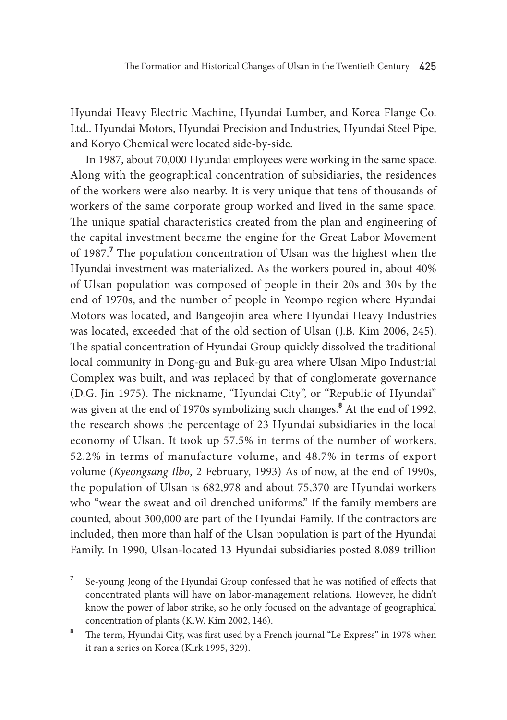Hyundai Heavy Electric Machine, Hyundai Lumber, and Korea Flange Co. Ltd.. Hyundai Motors, Hyundai Precision and Industries, Hyundai Steel Pipe, and Koryo Chemical were located side-by-side.

In 1987, about 70,000 Hyundai employees were working in the same space. Along with the geographical concentration of subsidiaries, the residences of the workers were also nearby. It is very unique that tens of thousands of workers of the same corporate group worked and lived in the same space. The unique spatial characteristics created from the plan and engineering of the capital investment became the engine for the Great Labor Movement of 1987.**<sup>7</sup>** The population concentration of Ulsan was the highest when the Hyundai investment was materialized. As the workers poured in, about 40% of Ulsan population was composed of people in their 20s and 30s by the end of 1970s, and the number of people in Yeompo region where Hyundai Motors was located, and Bangeojin area where Hyundai Heavy Industries was located, exceeded that of the old section of Ulsan (J.B. Kim 2006, 245). The spatial concentration of Hyundai Group quickly dissolved the traditional local community in Dong-gu and Buk-gu area where Ulsan Mipo Industrial Complex was built, and was replaced by that of conglomerate governance (D.G. Jin 1975). The nickname, "Hyundai City", or "Republic of Hyundai" was given at the end of 1970s symbolizing such changes.**<sup>8</sup>** At the end of 1992, the research shows the percentage of 23 Hyundai subsidiaries in the local economy of Ulsan. It took up 57.5% in terms of the number of workers, 52.2% in terms of manufacture volume, and 48.7% in terms of export volume (*Kyeongsang Ilbo*, 2 February, 1993) As of now, at the end of 1990s, the population of Ulsan is 682,978 and about 75,370 are Hyundai workers who "wear the sweat and oil drenched uniforms." If the family members are counted, about 300,000 are part of the Hyundai Family. If the contractors are included, then more than half of the Ulsan population is part of the Hyundai Family. In 1990, Ulsan-located 13 Hyundai subsidiaries posted 8.089 trillion

**<sup>7</sup>** Se-young Jeong of the Hyundai Group confessed that he was notified of effects that concentrated plants will have on labor-management relations. However, he didn't know the power of labor strike, so he only focused on the advantage of geographical concentration of plants (K.W. Kim 2002, 146).

<sup>&</sup>lt;sup>8</sup> The term, Hyundai City, was first used by a French journal "Le Express" in 1978 when it ran a series on Korea (Kirk 1995, 329).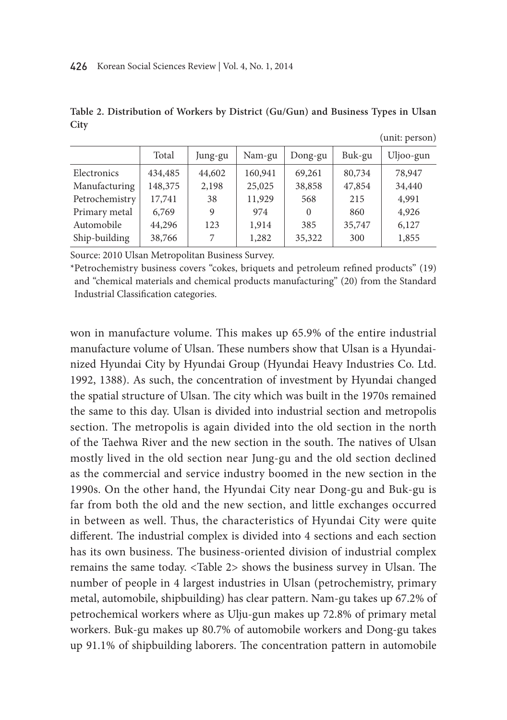|                | Total   | Jung-gu | Nam-gu  | Dong-gu  | Buk-gu | Uljoo-gun |
|----------------|---------|---------|---------|----------|--------|-----------|
| Electronics    | 434,485 | 44,602  | 160,941 | 69,261   | 80,734 | 78,947    |
| Manufacturing  | 148,375 | 2,198   | 25,025  | 38,858   | 47,854 | 34,440    |
| Petrochemistry | 17,741  | 38      | 11,929  | 568      | 215    | 4,991     |
| Primary metal  | 6,769   | 9       | 974     | $\Omega$ | 860    | 4,926     |
| Automobile     | 44,296  | 123     | 1,914   | 385      | 35,747 | 6,127     |
| Ship-building  | 38,766  |         | 1,282   | 35,322   | 300    | 1,855     |
|                |         |         |         |          |        |           |

**Table 2. Distribution of Workers by District (Gu/Gun) and Business Types in Ulsan City**

(unit: person)

Source: 2010 Ulsan Metropolitan Business Survey.

\*Petrochemistry business covers "cokes, briquets and petroleum refined products" (19) and "chemical materials and chemical products manufacturing" (20) from the Standard Industrial Classification categories.

won in manufacture volume. This makes up 65.9% of the entire industrial manufacture volume of Ulsan. These numbers show that Ulsan is a Hyundainized Hyundai City by Hyundai Group (Hyundai Heavy Industries Co. Ltd. 1992, 1388). As such, the concentration of investment by Hyundai changed the spatial structure of Ulsan. The city which was built in the 1970s remained the same to this day. Ulsan is divided into industrial section and metropolis section. The metropolis is again divided into the old section in the north of the Taehwa River and the new section in the south. The natives of Ulsan mostly lived in the old section near Jung-gu and the old section declined as the commercial and service industry boomed in the new section in the 1990s. On the other hand, the Hyundai City near Dong-gu and Buk-gu is far from both the old and the new section, and little exchanges occurred in between as well. Thus, the characteristics of Hyundai City were quite different. The industrial complex is divided into 4 sections and each section has its own business. The business-oriented division of industrial complex remains the same today. <Table 2> shows the business survey in Ulsan. The number of people in 4 largest industries in Ulsan (petrochemistry, primary metal, automobile, shipbuilding) has clear pattern. Nam-gu takes up 67.2% of petrochemical workers where as Ulju-gun makes up 72.8% of primary metal workers. Buk-gu makes up 80.7% of automobile workers and Dong-gu takes up 91.1% of shipbuilding laborers. The concentration pattern in automobile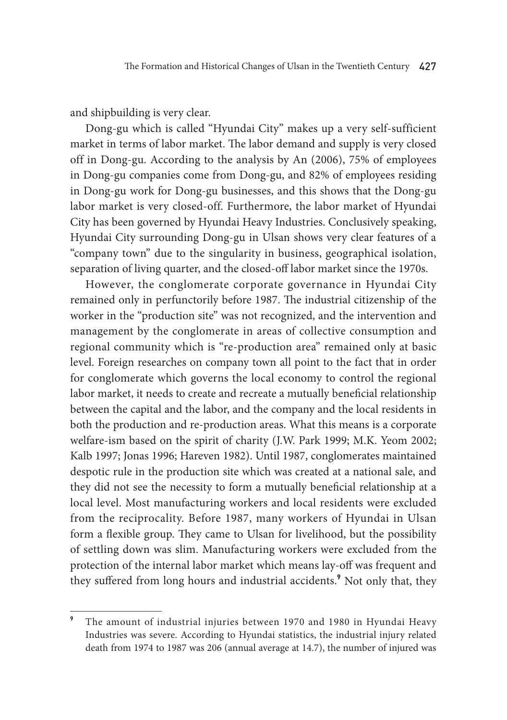and shipbuilding is very clear.

Dong-gu which is called "Hyundai City" makes up a very self-sufficient market in terms of labor market. The labor demand and supply is very closed off in Dong-gu. According to the analysis by An (2006), 75% of employees in Dong-gu companies come from Dong-gu, and 82% of employees residing in Dong-gu work for Dong-gu businesses, and this shows that the Dong-gu labor market is very closed-off. Furthermore, the labor market of Hyundai City has been governed by Hyundai Heavy Industries. Conclusively speaking, Hyundai City surrounding Dong-gu in Ulsan shows very clear features of a "company town" due to the singularity in business, geographical isolation, separation of living quarter, and the closed-off labor market since the 1970s.

However, the conglomerate corporate governance in Hyundai City remained only in perfunctorily before 1987. The industrial citizenship of the worker in the "production site" was not recognized, and the intervention and management by the conglomerate in areas of collective consumption and regional community which is "re-production area" remained only at basic level. Foreign researches on company town all point to the fact that in order for conglomerate which governs the local economy to control the regional labor market, it needs to create and recreate a mutually beneficial relationship between the capital and the labor, and the company and the local residents in both the production and re-production areas. What this means is a corporate welfare-ism based on the spirit of charity (J.W. Park 1999; M.K. Yeom 2002; Kalb 1997; Jonas 1996; Hareven 1982). Until 1987, conglomerates maintained despotic rule in the production site which was created at a national sale, and they did not see the necessity to form a mutually beneficial relationship at a local level. Most manufacturing workers and local residents were excluded from the reciprocality. Before 1987, many workers of Hyundai in Ulsan form a flexible group. They came to Ulsan for livelihood, but the possibility of settling down was slim. Manufacturing workers were excluded from the protection of the internal labor market which means lay-off was frequent and they suffered from long hours and industrial accidents.**<sup>9</sup>** Not only that, they

**<sup>9</sup>** The amount of industrial injuries between 1970 and 1980 in Hyundai Heavy Industries was severe. According to Hyundai statistics, the industrial injury related death from 1974 to 1987 was 206 (annual average at 14.7), the number of injured was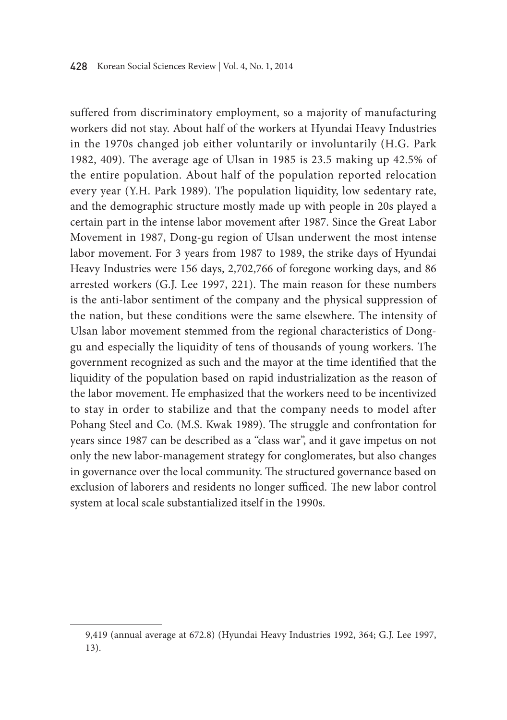suffered from discriminatory employment, so a majority of manufacturing workers did not stay. About half of the workers at Hyundai Heavy Industries in the 1970s changed job either voluntarily or involuntarily (H.G. Park 1982, 409). The average age of Ulsan in 1985 is 23.5 making up 42.5% of the entire population. About half of the population reported relocation every year (Y.H. Park 1989). The population liquidity, low sedentary rate, and the demographic structure mostly made up with people in 20s played a certain part in the intense labor movement after 1987. Since the Great Labor Movement in 1987, Dong-gu region of Ulsan underwent the most intense labor movement. For 3 years from 1987 to 1989, the strike days of Hyundai Heavy Industries were 156 days, 2,702,766 of foregone working days, and 86 arrested workers (G.J. Lee 1997, 221). The main reason for these numbers is the anti-labor sentiment of the company and the physical suppression of the nation, but these conditions were the same elsewhere. The intensity of Ulsan labor movement stemmed from the regional characteristics of Donggu and especially the liquidity of tens of thousands of young workers. The government recognized as such and the mayor at the time identified that the liquidity of the population based on rapid industrialization as the reason of the labor movement. He emphasized that the workers need to be incentivized to stay in order to stabilize and that the company needs to model after Pohang Steel and Co. (M.S. Kwak 1989). The struggle and confrontation for years since 1987 can be described as a "class war", and it gave impetus on not only the new labor-management strategy for conglomerates, but also changes in governance over the local community. The structured governance based on exclusion of laborers and residents no longer sufficed. The new labor control system at local scale substantialized itself in the 1990s.

<sup>9,419 (</sup>annual average at 672.8) (Hyundai Heavy Industries 1992, 364; G.J. Lee 1997, 13).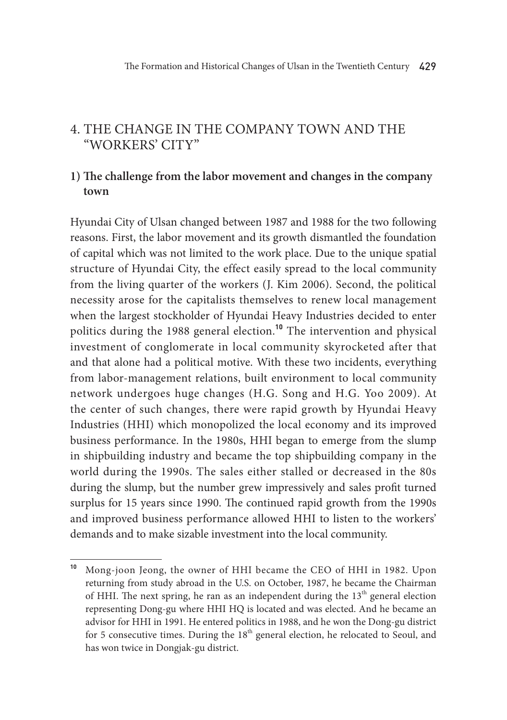### 4. The change in the Company Town and the "Workers' City"

### **1) The challenge from the labor movement and changes in the company town**

Hyundai City of Ulsan changed between 1987 and 1988 for the two following reasons. First, the labor movement and its growth dismantled the foundation of capital which was not limited to the work place. Due to the unique spatial structure of Hyundai City, the effect easily spread to the local community from the living quarter of the workers (J. Kim 2006). Second, the political necessity arose for the capitalists themselves to renew local management when the largest stockholder of Hyundai Heavy Industries decided to enter politics during the 1988 general election.**<sup>10</sup>** The intervention and physical investment of conglomerate in local community skyrocketed after that and that alone had a political motive. With these two incidents, everything from labor-management relations, built environment to local community network undergoes huge changes (H.G. Song and H.G. Yoo 2009). At the center of such changes, there were rapid growth by Hyundai Heavy Industries (HHI) which monopolized the local economy and its improved business performance. In the 1980s, HHI began to emerge from the slump in shipbuilding industry and became the top shipbuilding company in the world during the 1990s. The sales either stalled or decreased in the 80s during the slump, but the number grew impressively and sales profit turned surplus for 15 years since 1990. The continued rapid growth from the 1990s and improved business performance allowed HHI to listen to the workers' demands and to make sizable investment into the local community.

**<sup>10</sup>** Mong-joon Jeong, the owner of HHI became the CEO of HHI in 1982. Upon returning from study abroad in the U.S. on October, 1987, he became the Chairman of HHI. The next spring, he ran as an independent during the  $13<sup>th</sup>$  general election representing Dong-gu where HHI HQ is located and was elected. And he became an advisor for HHI in 1991. He entered politics in 1988, and he won the Dong-gu district for 5 consecutive times. During the  $18<sup>th</sup>$  general election, he relocated to Seoul, and has won twice in Dongjak-gu district.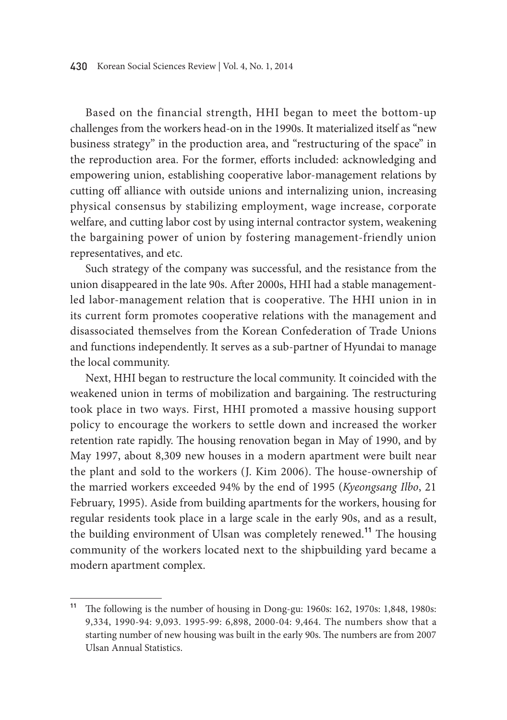Based on the financial strength, HHI began to meet the bottom-up challenges from the workers head-on in the 1990s. It materialized itself as "new business strategy" in the production area, and "restructuring of the space" in the reproduction area. For the former, efforts included: acknowledging and empowering union, establishing cooperative labor-management relations by cutting off alliance with outside unions and internalizing union, increasing physical consensus by stabilizing employment, wage increase, corporate welfare, and cutting labor cost by using internal contractor system, weakening the bargaining power of union by fostering management-friendly union representatives, and etc.

Such strategy of the company was successful, and the resistance from the union disappeared in the late 90s. After 2000s, HHI had a stable managementled labor-management relation that is cooperative. The HHI union in in its current form promotes cooperative relations with the management and disassociated themselves from the Korean Confederation of Trade Unions and functions independently. It serves as a sub-partner of Hyundai to manage the local community.

Next, HHI began to restructure the local community. It coincided with the weakened union in terms of mobilization and bargaining. The restructuring took place in two ways. First, HHI promoted a massive housing support policy to encourage the workers to settle down and increased the worker retention rate rapidly. The housing renovation began in May of 1990, and by May 1997, about 8,309 new houses in a modern apartment were built near the plant and sold to the workers (J. Kim 2006). The house-ownership of the married workers exceeded 94% by the end of 1995 (*Kyeongsang Ilbo*, 21 February, 1995). Aside from building apartments for the workers, housing for regular residents took place in a large scale in the early 90s, and as a result, the building environment of Ulsan was completely renewed.**<sup>11</sup>** The housing community of the workers located next to the shipbuilding yard became a modern apartment complex.

**<sup>11</sup>** The following is the number of housing in Dong-gu: 1960s: 162, 1970s: 1,848, 1980s: 9,334, 1990-94: 9,093. 1995-99: 6,898, 2000-04: 9,464. The numbers show that a starting number of new housing was built in the early 90s. The numbers are from 2007 Ulsan Annual Statistics.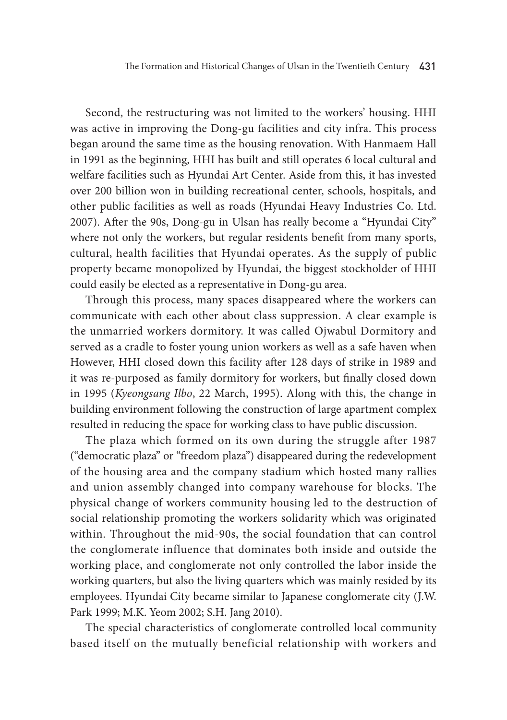Second, the restructuring was not limited to the workers' housing. HHI was active in improving the Dong-gu facilities and city infra. This process began around the same time as the housing renovation. With Hanmaem Hall in 1991 as the beginning, HHI has built and still operates 6 local cultural and welfare facilities such as Hyundai Art Center. Aside from this, it has invested over 200 billion won in building recreational center, schools, hospitals, and other public facilities as well as roads (Hyundai Heavy Industries Co. Ltd. 2007). After the 90s, Dong-gu in Ulsan has really become a "Hyundai City" where not only the workers, but regular residents benefit from many sports, cultural, health facilities that Hyundai operates. As the supply of public property became monopolized by Hyundai, the biggest stockholder of HHI could easily be elected as a representative in Dong-gu area.

Through this process, many spaces disappeared where the workers can communicate with each other about class suppression. A clear example is the unmarried workers dormitory. It was called Ojwabul Dormitory and served as a cradle to foster young union workers as well as a safe haven when However, HHI closed down this facility after 128 days of strike in 1989 and it was re-purposed as family dormitory for workers, but finally closed down in 1995 (*Kyeongsang Ilbo*, 22 March, 1995). Along with this, the change in building environment following the construction of large apartment complex resulted in reducing the space for working class to have public discussion.

The plaza which formed on its own during the struggle after 1987 ("democratic plaza" or "freedom plaza") disappeared during the redevelopment of the housing area and the company stadium which hosted many rallies and union assembly changed into company warehouse for blocks. The physical change of workers community housing led to the destruction of social relationship promoting the workers solidarity which was originated within. Throughout the mid-90s, the social foundation that can control the conglomerate influence that dominates both inside and outside the working place, and conglomerate not only controlled the labor inside the working quarters, but also the living quarters which was mainly resided by its employees. Hyundai City became similar to Japanese conglomerate city (J.W. Park 1999; M.K. Yeom 2002; S.H. Jang 2010).

The special characteristics of conglomerate controlled local community based itself on the mutually beneficial relationship with workers and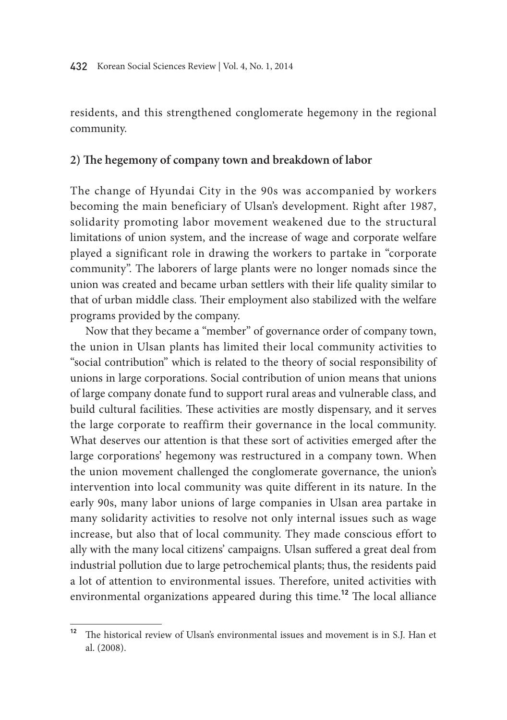residents, and this strengthened conglomerate hegemony in the regional community.

#### **2) The hegemony of company town and breakdown of labor**

The change of Hyundai City in the 90s was accompanied by workers becoming the main beneficiary of Ulsan's development. Right after 1987, solidarity promoting labor movement weakened due to the structural limitations of union system, and the increase of wage and corporate welfare played a significant role in drawing the workers to partake in "corporate community". The laborers of large plants were no longer nomads since the union was created and became urban settlers with their life quality similar to that of urban middle class. Their employment also stabilized with the welfare programs provided by the company.

Now that they became a "member" of governance order of company town, the union in Ulsan plants has limited their local community activities to "social contribution" which is related to the theory of social responsibility of unions in large corporations. Social contribution of union means that unions of large company donate fund to support rural areas and vulnerable class, and build cultural facilities. These activities are mostly dispensary, and it serves the large corporate to reaffirm their governance in the local community. What deserves our attention is that these sort of activities emerged after the large corporations' hegemony was restructured in a company town. When the union movement challenged the conglomerate governance, the union's intervention into local community was quite different in its nature. In the early 90s, many labor unions of large companies in Ulsan area partake in many solidarity activities to resolve not only internal issues such as wage increase, but also that of local community. They made conscious effort to ally with the many local citizens' campaigns. Ulsan suffered a great deal from industrial pollution due to large petrochemical plants; thus, the residents paid a lot of attention to environmental issues. Therefore, united activities with environmental organizations appeared during this time.**<sup>12</sup>** The local alliance

**<sup>12</sup>** The historical review of Ulsan's environmental issues and movement is in S.J. Han et al. (2008).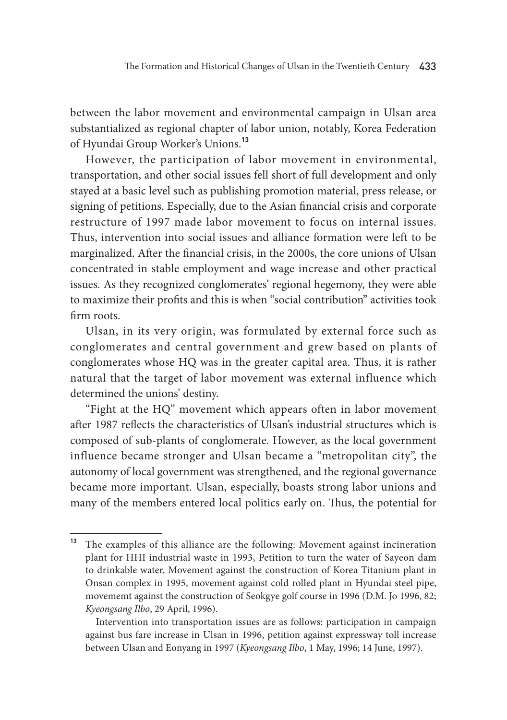between the labor movement and environmental campaign in Ulsan area substantialized as regional chapter of labor union, notably, Korea Federation of Hyundai Group Worker's Unions.**<sup>13</sup>**

However, the participation of labor movement in environmental, transportation, and other social issues fell short of full development and only stayed at a basic level such as publishing promotion material, press release, or signing of petitions. Especially, due to the Asian financial crisis and corporate restructure of 1997 made labor movement to focus on internal issues. Thus, intervention into social issues and alliance formation were left to be marginalized. After the financial crisis, in the 2000s, the core unions of Ulsan concentrated in stable employment and wage increase and other practical issues. As they recognized conglomerates' regional hegemony, they were able to maximize their profits and this is when "social contribution" activities took firm roots.

Ulsan, in its very origin, was formulated by external force such as conglomerates and central government and grew based on plants of conglomerates whose HQ was in the greater capital area. Thus, it is rather natural that the target of labor movement was external influence which determined the unions' destiny.

"Fight at the HQ" movement which appears often in labor movement after 1987 reflects the characteristics of Ulsan's industrial structures which is composed of sub-plants of conglomerate. However, as the local government influence became stronger and Ulsan became a "metropolitan city", the autonomy of local government was strengthened, and the regional governance became more important. Ulsan, especially, boasts strong labor unions and many of the members entered local politics early on. Thus, the potential for

**<sup>13</sup>** The examples of this alliance are the following: Movement against incineration plant for HHI industrial waste in 1993, Petition to turn the water of Sayeon dam to drinkable water, Movement against the construction of Korea Titanium plant in Onsan complex in 1995, movement against cold rolled plant in Hyundai steel pipe, movememt against the construction of Seokgye golf course in 1996 (D.M. Jo 1996, 82; *Kyeongsang Ilbo*, 29 April, 1996).

Intervention into transportation issues are as follows: participation in campaign against bus fare increase in Ulsan in 1996, petition against expressway toll increase between Ulsan and Eonyang in 1997 (*Kyeongsang Ilbo*, 1 May, 1996; 14 June, 1997).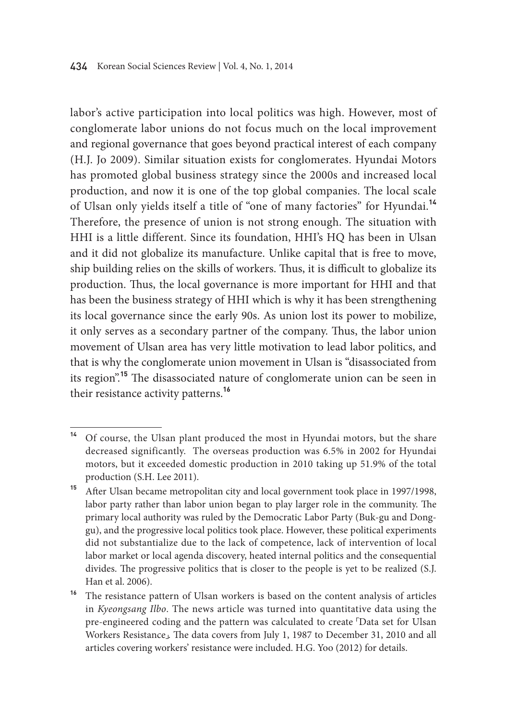labor's active participation into local politics was high. However, most of conglomerate labor unions do not focus much on the local improvement and regional governance that goes beyond practical interest of each company (H.J. Jo 2009). Similar situation exists for conglomerates. Hyundai Motors has promoted global business strategy since the 2000s and increased local production, and now it is one of the top global companies. The local scale of Ulsan only yields itself a title of "one of many factories" for Hyundai.**<sup>14</sup>** Therefore, the presence of union is not strong enough. The situation with HHI is a little different. Since its foundation, HHI's HQ has been in Ulsan and it did not globalize its manufacture. Unlike capital that is free to move, ship building relies on the skills of workers. Thus, it is difficult to globalize its production. Thus, the local governance is more important for HHI and that has been the business strategy of HHI which is why it has been strengthening its local governance since the early 90s. As union lost its power to mobilize, it only serves as a secondary partner of the company. Thus, the labor union movement of Ulsan area has very little motivation to lead labor politics, and that is why the conglomerate union movement in Ulsan is "disassociated from its region".**<sup>15</sup>** The disassociated nature of conglomerate union can be seen in their resistance activity patterns.**<sup>16</sup>**

**<sup>14</sup>** Of course, the Ulsan plant produced the most in Hyundai motors, but the share decreased significantly. The overseas production was 6.5% in 2002 for Hyundai motors, but it exceeded domestic production in 2010 taking up 51.9% of the total production (S.H. Lee 2011).

**<sup>15</sup>** After Ulsan became metropolitan city and local government took place in 1997/1998, labor party rather than labor union began to play larger role in the community. The primary local authority was ruled by the Democratic Labor Party (Buk-gu and Donggu), and the progressive local politics took place. However, these political experiments did not substantialize due to the lack of competence, lack of intervention of local labor market or local agenda discovery, heated internal politics and the consequential divides. The progressive politics that is closer to the people is yet to be realized (S.J. Han et al. 2006).

**<sup>16</sup>** The resistance pattern of Ulsan workers is based on the content analysis of articles in *Kyeongsang Ilbo*. The news article was turned into quantitative data using the pre-engineered coding and the pattern was calculated to create 「Data set for Ulsan Workers Resistance」. The data covers from July 1, 1987 to December 31, 2010 and all articles covering workers' resistance were included. H.G. Yoo (2012) for details.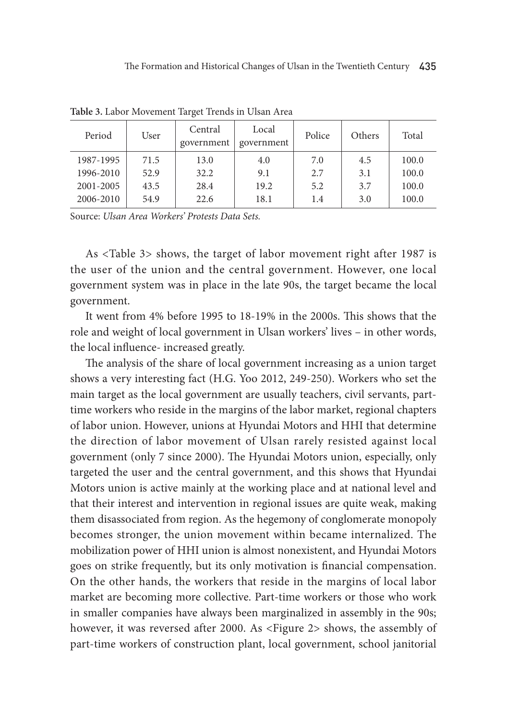| Period    | User | Central<br>government | Local<br>government | Police | <b>Others</b> | Total |
|-----------|------|-----------------------|---------------------|--------|---------------|-------|
| 1987-1995 | 71.5 | 13.0                  | 4.0                 | 7.0    | 4.5           | 100.0 |
| 1996-2010 | 52.9 | 32.2                  | 9.1                 | 2.7    | 3.1           | 100.0 |
| 2001-2005 | 43.5 | 28.4                  | 19.2                | 5.2    | 3.7           | 100.0 |
| 2006-2010 | 54.9 | 22.6                  | 18.1                | 1.4    | 3.0           | 100.0 |
|           |      |                       |                     |        |               |       |

**Table 3.** Labor Movement Target Trends in Ulsan Area

Source: *Ulsan Area Workers' Protests Data Sets.*

As <Table 3> shows, the target of labor movement right after 1987 is the user of the union and the central government. However, one local government system was in place in the late 90s, the target became the local government.

It went from 4% before 1995 to 18-19% in the 2000s. This shows that the role and weight of local government in Ulsan workers' lives – in other words, the local influence- increased greatly.

The analysis of the share of local government increasing as a union target shows a very interesting fact (H.G. Yoo 2012, 249-250). Workers who set the main target as the local government are usually teachers, civil servants, parttime workers who reside in the margins of the labor market, regional chapters of labor union. However, unions at Hyundai Motors and HHI that determine the direction of labor movement of Ulsan rarely resisted against local government (only 7 since 2000). The Hyundai Motors union, especially, only targeted the user and the central government, and this shows that Hyundai Motors union is active mainly at the working place and at national level and that their interest and intervention in regional issues are quite weak, making them disassociated from region. As the hegemony of conglomerate monopoly becomes stronger, the union movement within became internalized. The mobilization power of HHI union is almost nonexistent, and Hyundai Motors goes on strike frequently, but its only motivation is financial compensation. On the other hands, the workers that reside in the margins of local labor market are becoming more collective. Part-time workers or those who work in smaller companies have always been marginalized in assembly in the 90s; however, it was reversed after 2000. As <Figure 2> shows, the assembly of part-time workers of construction plant, local government, school janitorial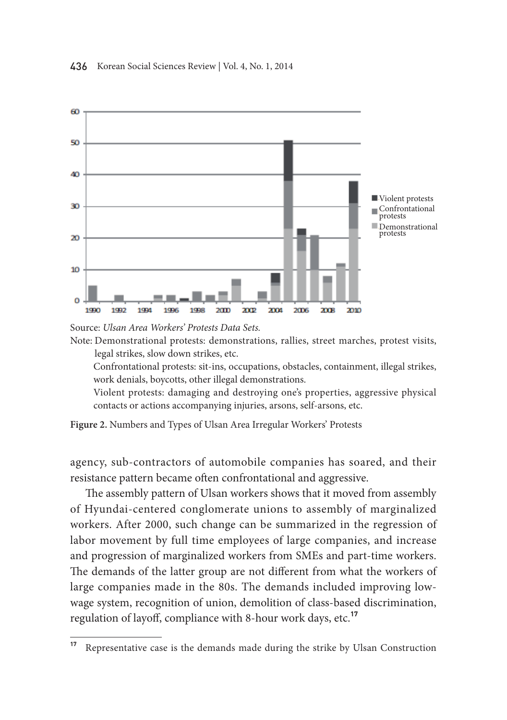

Source: *Ulsan Area Workers' Protests Data Sets.*

Note: Demonstrational protests: demonstrations, rallies, street marches, protest visits, legal strikes, slow down strikes, etc.

 confrontational protests: sit-ins, occupations, obstacles, containment, illegal strikes, work denials, boycotts, other illegal demonstrations.

 Violent protests: damaging and destroying one's properties, aggressive physical contacts or actions accompanying injuries, arsons, self-arsons, etc.

**Figure 2.** Numbers and Types of Ulsan Area Irregular Workers' Protests

agency, sub-contractors of automobile companies has soared, and their resistance pattern became often confrontational and aggressive.

The assembly pattern of Ulsan workers shows that it moved from assembly of Hyundai-centered conglomerate unions to assembly of marginalized workers. After 2000, such change can be summarized in the regression of labor movement by full time employees of large companies, and increase and progression of marginalized workers from SMEs and part-time workers. The demands of the latter group are not different from what the workers of large companies made in the 80s. The demands included improving lowwage system, recognition of union, demolition of class-based discrimination, regulation of layoff, compliance with 8-hour work days, etc.<sup>17</sup>

<sup>&</sup>lt;sup>17</sup> Representative case is the demands made during the strike by Ulsan Construction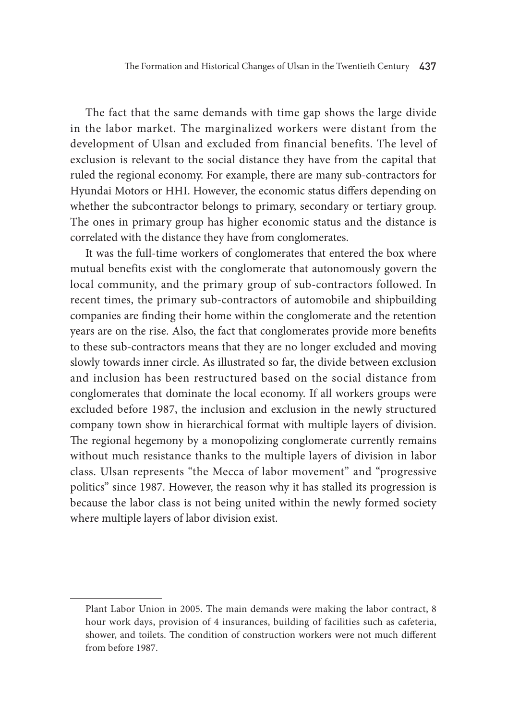The fact that the same demands with time gap shows the large divide in the labor market. The marginalized workers were distant from the development of Ulsan and excluded from financial benefits. The level of exclusion is relevant to the social distance they have from the capital that ruled the regional economy. For example, there are many sub-contractors for Hyundai Motors or HHI. However, the economic status differs depending on whether the subcontractor belongs to primary, secondary or tertiary group. The ones in primary group has higher economic status and the distance is correlated with the distance they have from conglomerates.

It was the full-time workers of conglomerates that entered the box where mutual benefits exist with the conglomerate that autonomously govern the local community, and the primary group of sub-contractors followed. In recent times, the primary sub-contractors of automobile and shipbuilding companies are finding their home within the conglomerate and the retention years are on the rise. Also, the fact that conglomerates provide more benefits to these sub-contractors means that they are no longer excluded and moving slowly towards inner circle. As illustrated so far, the divide between exclusion and inclusion has been restructured based on the social distance from conglomerates that dominate the local economy. If all workers groups were excluded before 1987, the inclusion and exclusion in the newly structured company town show in hierarchical format with multiple layers of division. The regional hegemony by a monopolizing conglomerate currently remains without much resistance thanks to the multiple layers of division in labor class. Ulsan represents "the Mecca of labor movement" and "progressive politics" since 1987. However, the reason why it has stalled its progression is because the labor class is not being united within the newly formed society where multiple layers of labor division exist.

Plant Labor Union in 2005. The main demands were making the labor contract, 8 hour work days, provision of 4 insurances, building of facilities such as cafeteria, shower, and toilets. The condition of construction workers were not much different from before 1987.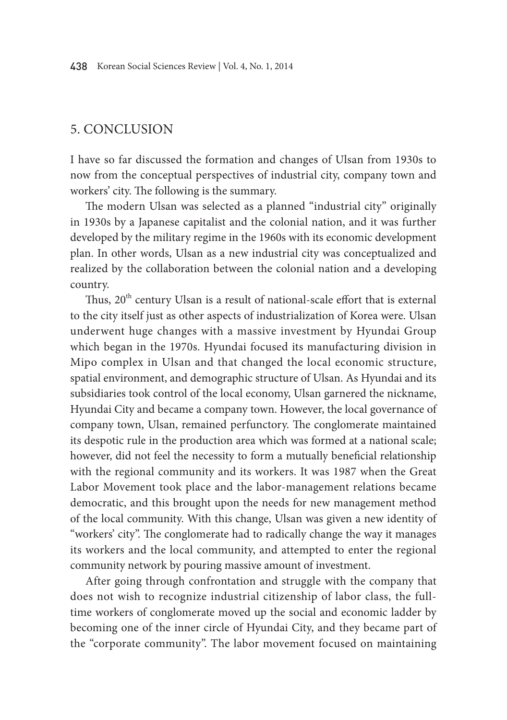### 5. Conclusion

I have so far discussed the formation and changes of Ulsan from 1930s to now from the conceptual perspectives of industrial city, company town and workers' city. The following is the summary.

The modern Ulsan was selected as a planned "industrial city" originally in 1930s by a Japanese capitalist and the colonial nation, and it was further developed by the military regime in the 1960s with its economic development plan. In other words, Ulsan as a new industrial city was conceptualized and realized by the collaboration between the colonial nation and a developing country.

Thus, 20<sup>th</sup> century Ulsan is a result of national-scale effort that is external to the city itself just as other aspects of industrialization of Korea were. Ulsan underwent huge changes with a massive investment by Hyundai Group which began in the 1970s. Hyundai focused its manufacturing division in Mipo complex in Ulsan and that changed the local economic structure, spatial environment, and demographic structure of Ulsan. As Hyundai and its subsidiaries took control of the local economy, Ulsan garnered the nickname, Hyundai City and became a company town. However, the local governance of company town, Ulsan, remained perfunctory. The conglomerate maintained its despotic rule in the production area which was formed at a national scale; however, did not feel the necessity to form a mutually beneficial relationship with the regional community and its workers. It was 1987 when the Great Labor Movement took place and the labor-management relations became democratic, and this brought upon the needs for new management method of the local community. With this change, Ulsan was given a new identity of "workers' city". The conglomerate had to radically change the way it manages its workers and the local community, and attempted to enter the regional community network by pouring massive amount of investment.

After going through confrontation and struggle with the company that does not wish to recognize industrial citizenship of labor class, the fulltime workers of conglomerate moved up the social and economic ladder by becoming one of the inner circle of Hyundai City, and they became part of the "corporate community". The labor movement focused on maintaining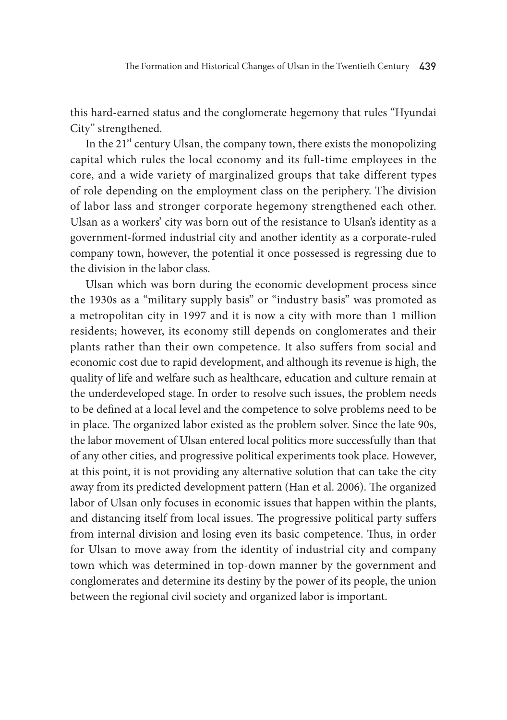this hard-earned status and the conglomerate hegemony that rules "Hyundai City" strengthened.

In the  $21<sup>st</sup>$  century Ulsan, the company town, there exists the monopolizing capital which rules the local economy and its full-time employees in the core, and a wide variety of marginalized groups that take different types of role depending on the employment class on the periphery. The division of labor lass and stronger corporate hegemony strengthened each other. Ulsan as a workers' city was born out of the resistance to Ulsan's identity as a government-formed industrial city and another identity as a corporate-ruled company town, however, the potential it once possessed is regressing due to the division in the labor class.

Ulsan which was born during the economic development process since the 1930s as a "military supply basis" or "industry basis" was promoted as a metropolitan city in 1997 and it is now a city with more than 1 million residents; however, its economy still depends on conglomerates and their plants rather than their own competence. It also suffers from social and economic cost due to rapid development, and although its revenue is high, the quality of life and welfare such as healthcare, education and culture remain at the underdeveloped stage. In order to resolve such issues, the problem needs to be defined at a local level and the competence to solve problems need to be in place. The organized labor existed as the problem solver. Since the late 90s, the labor movement of Ulsan entered local politics more successfully than that of any other cities, and progressive political experiments took place. However, at this point, it is not providing any alternative solution that can take the city away from its predicted development pattern (Han et al. 2006). The organized labor of Ulsan only focuses in economic issues that happen within the plants, and distancing itself from local issues. The progressive political party suffers from internal division and losing even its basic competence. Thus, in order for Ulsan to move away from the identity of industrial city and company town which was determined in top-down manner by the government and conglomerates and determine its destiny by the power of its people, the union between the regional civil society and organized labor is important.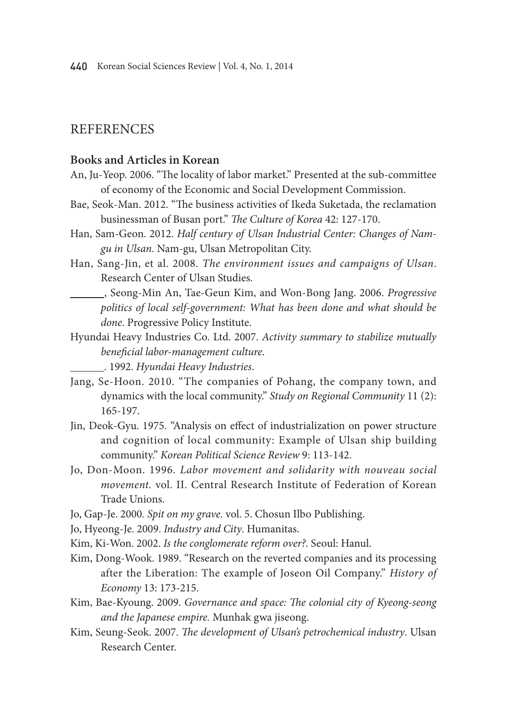### **REFERENCES**

#### **Books and Articles in Korean**

- An, Ju-Yeop. 2006. "The locality of labor market." Presented at the sub-committee of economy of the Economic and Social Development Commission.
- Bae, Seok-Man. 2012. "The business activities of Ikeda Suketada, the reclamation businessman of Busan port." *The Culture of Korea* 42: 127-170.
- Han, Sam-Geon. 2012. *Half century of Ulsan Industrial Center: Changes of Namgu in Ulsan*. Nam-gu, Ulsan Metropolitan City.
- Han, Sang-Jin, et al. 2008. *The environment issues and campaigns of Ulsan*. Research Center of Ulsan Studies.
- , Seong-Min An, Tae-Geun Kim, and Won-Bong Jang. 2006. *Progressive politics of local self-government: What has been done and what should be done*. Progressive Policy Institute.
- Hyundai Heavy Industries Co. Ltd. 2007. *Activity summary to stabilize mutually beneficial labor-management culture*.
- . 1992. *Hyundai Heavy Industries*.
- Jang, Se-Hoon. 2010. "The companies of Pohang, the company town, and dynamics with the local community." *Study on Regional Community* 11 (2): 165-197.
- Jin, Deok-Gyu. 1975. "Analysis on effect of industrialization on power structure and cognition of local community: Example of Ulsan ship building community." *Korean Political Science Review* 9: 113-142.
- Jo, Don-Moon. 1996. *Labor movement and solidarity with nouveau social movement.* vol. II. Central Research Institute of Federation of Korean Trade Unions.
- Jo, Gap-Je. 2000*. Spit on my grave.* vol. 5. Chosun Ilbo Publishing.
- Jo, Hyeong-Je. 2009. *Industry and City*. Humanitas.
- Kim, Ki-Won. 2002. *Is the conglomerate reform over?*. Seoul: Hanul.
- Kim, Dong-Wook. 1989. "Research on the reverted companies and its processing after the Liberation: The example of Joseon Oil Company." *History of Economy* 13: 173-215.
- Kim, Bae-Kyoung. 2009. *Governance and space: The colonial city of Kyeong-seong and the Japanese empire.* Munhak gwa jiseong.
- Kim, Seung-Seok. 2007. *The development of Ulsan's petrochemical industry*. Ulsan Research Center.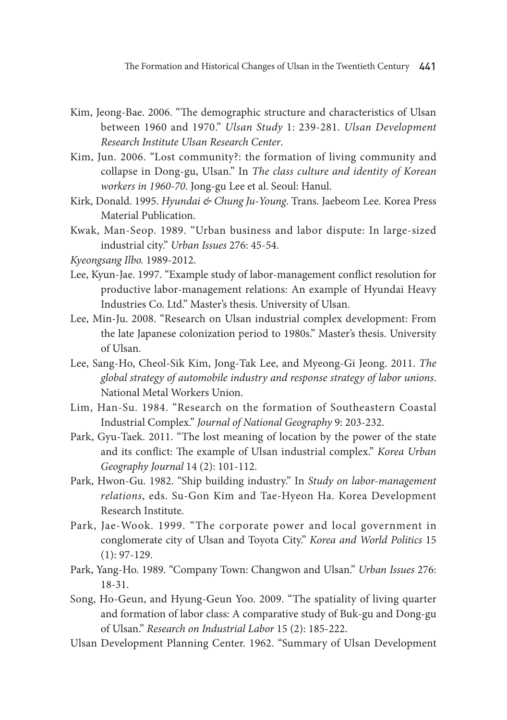- Kim, Jeong-Bae. 2006. "The demographic structure and characteristics of Ulsan between 1960 and 1970." *Ulsan Study* 1: 239-281. *Ulsan Development Research Institute Ulsan Research Center*.
- Kim, Jun. 2006. "Lost community?: the formation of living community and collapse in Dong-gu, Ulsan." In *The class culture and identity of Korean workers in 1960-70*. Jong-gu Lee et al. Seoul: Hanul.
- Kirk, Donald. 1995. *Hyundai & Chung Ju-Young*. Trans. Jaebeom Lee. Korea Press Material Publication.
- Kwak, Man-Seop. 1989. "Urban business and labor dispute: In large-sized industrial city." *Urban Issues* 276: 45-54.

*Kyeongsang Ilbo.* 1989-2012.

- Lee, Kyun-Jae. 1997. "Example study of labor-management conflict resolution for productive labor-management relations: An example of Hyundai Heavy Industries Co. Ltd." Master's thesis. University of Ulsan.
- Lee, Min-Ju. 2008. "Research on Ulsan industrial complex development: From the late Japanese colonization period to 1980s." Master's thesis. University of Ulsan.
- Lee, Sang-Ho, Cheol-Sik Kim, Jong-Tak Lee, and Myeong-Gi Jeong. 2011. *The global strategy of automobile industry and response strategy of labor unions*. National Metal Workers Union.
- Lim, Han-Su. 1984. "Research on the formation of Southeastern Coastal Industrial Complex." *Journal of National Geography* 9: 203-232.
- Park, Gyu-Taek. 2011. "The lost meaning of location by the power of the state and its conflict: The example of Ulsan industrial complex." *Korea Urban Geography Journal* 14 (2): 101-112.
- Park, Hwon-Gu. 1982. "Ship building industry." In *Study on labor-management relations*, eds. Su-Gon Kim and Tae-Hyeon Ha. Korea Development Research Institute.
- Park, Jae-Wook. 1999. "The corporate power and local government in conglomerate city of Ulsan and Toyota City." *Korea and World Politics* 15  $(1): 97-129.$
- Park, Yang-Ho. 1989. "Company Town: Changwon and Ulsan." *Urban Issues* 276: 18-31.
- Song, Ho-Geun, and Hyung-Geun Yoo. 2009. "The spatiality of living quarter and formation of labor class: A comparative study of Buk-gu and Dong-gu of Ulsan." *Research on Industrial Labor* 15 (2): 185-222.
- Ulsan Development Planning Center. 1962. "Summary of Ulsan Development